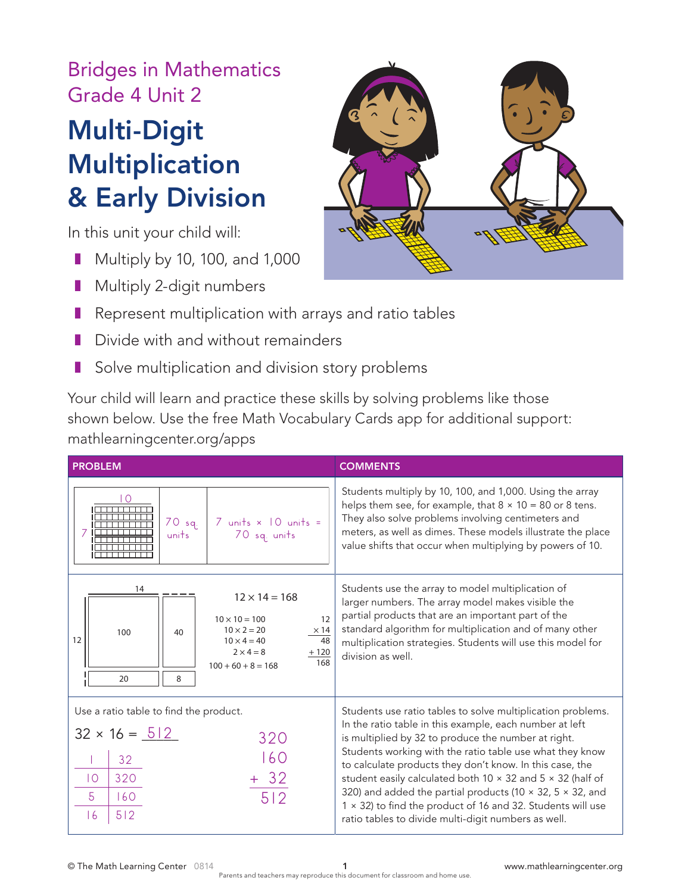Bridges in Mathematics Grade 4 Unit 2

## Multi-Digit Multiplication & Early Division

In this unit your child will:

- Multiply by 10, 100, and 1,000
- Multiply 2-digit numbers



- Represent multiplication with arrays and ratio tables
- Divide with and without remainders
- Solve multiplication and division story problems

Your child will learn and practice these skills by solving problems like those shown below. Use the free Math Vocabulary Cards app for additional support: mathlearningcenter.org/apps

| <b>PROBLEM</b>                                                                                                                                                                                                       | <b>COMMENTS</b>                                                                                                                                                                                                                                                                                                                                                                                                                                                                                                                                                      |
|----------------------------------------------------------------------------------------------------------------------------------------------------------------------------------------------------------------------|----------------------------------------------------------------------------------------------------------------------------------------------------------------------------------------------------------------------------------------------------------------------------------------------------------------------------------------------------------------------------------------------------------------------------------------------------------------------------------------------------------------------------------------------------------------------|
| ∩<br>$70$ sq.<br>$7$ units $\times$ 10 units =<br>70 sq. units<br>units                                                                                                                                              | Students multiply by 10, 100, and 1,000. Using the array<br>helps them see, for example, that $8 \times 10 = 80$ or 8 tens.<br>They also solve problems involving centimeters and<br>meters, as well as dimes. These models illustrate the place<br>value shifts that occur when multiplying by powers of 10.                                                                                                                                                                                                                                                        |
| 14<br>$12 \times 14 = 168$<br>12<br>$10 \times 10 = 100$<br>$10 \times 2 = 20$<br>$\times$ 14<br>100<br>40<br>12<br>48<br>$10 \times 4 = 40$<br>$2 \times 4 = 8$<br>$+120$<br>168<br>$100 + 60 + 8 = 168$<br>20<br>8 | Students use the array to model multiplication of<br>larger numbers. The array model makes visible the<br>partial products that are an important part of the<br>standard algorithm for multiplication and of many other<br>multiplication strategies. Students will use this model for<br>division as well.                                                                                                                                                                                                                                                          |
| Use a ratio table to find the product.<br>$32 \times 16 = 512$<br>320<br>160<br>32<br>$+ 32$<br>320<br>$\overline{10}$<br>512<br>5<br>60<br>512<br> 6                                                                | Students use ratio tables to solve multiplication problems.<br>In the ratio table in this example, each number at left<br>is multiplied by 32 to produce the number at right.<br>Students working with the ratio table use what they know<br>to calculate products they don't know. In this case, the<br>student easily calculated both 10 x 32 and 5 x 32 (half of<br>320) and added the partial products (10 $\times$ 32, 5 $\times$ 32, and<br>1 × 32) to find the product of 16 and 32. Students will use<br>ratio tables to divide multi-digit numbers as well. |

© The Math Learning Center 0814 1 www.mathlearningcenter.org